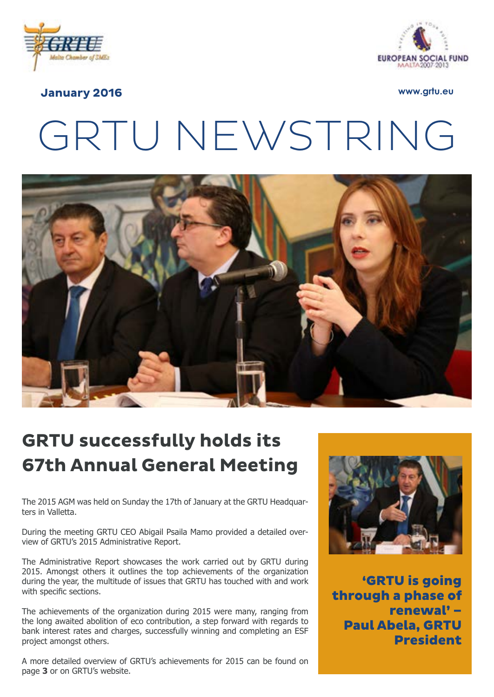



#### **January 2016 www.grtu.eu**

# GRTU NEWSTRING



# **GRTU successfully holds its 67th Annual General Meeting**

The 2015 AGM was held on Sunday the 17th of January at the GRTU Headquarters in Valletta.

During the meeting GRTU CEO Abigail Psaila Mamo provided a detailed overview of GRTU's 2015 Administrative Report.

The Administrative Report showcases the work carried out by GRTU during 2015. Amongst others it outlines the top achievements of the organization during the year, the multitude of issues that GRTU has touched with and work with specific sections.

The achievements of the organization during 2015 were many, ranging from the long awaited abolition of eco contribution, a step forward with regards to bank interest rates and charges, successfully winning and completing an ESF project amongst others.

A more detailed overview of GRTU's achievements for 2015 can be found on page **3** or on GRTU's website.



'GRTU is going through a phase of renewal' – Paul Abela, GRTU President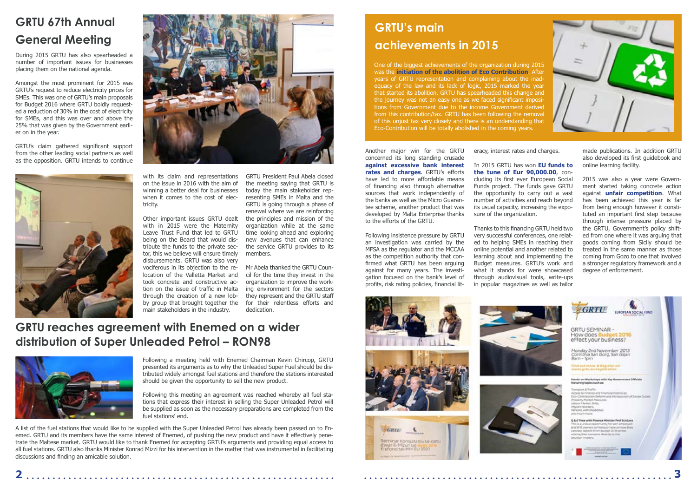During 2015 GRTU has also spearheaded a number of important issues for businesses placing them on the national agenda.

Amongst the most prominent for 2015 was GRTU's request to reduce electricity prices for SMEs. This was one of GRTU's main proposals for Budget 2016 where GRTU boldly requested a reduction of 30% in the cost of electricity for SMEs, and this was over and above the 25% that was given by the Government earlier on in the year.

GRTU's claim gathered significant support from the other leading social partners as well as the opposition. GRTU intends to continue





eracy, interest rates and charges.

In 2015 GRTU has won **EU funds to the tune of Eur 90,000.00**, concluding its first ever European Social Funds project. The funds gave GRTU the opportunity to carry out a vast number of activities and reach beyond its usual capacity, increasing the exposure of the organization.

Thanks to this financing GRTU held two very successful conferences, one related to helping SMEs in reaching their online potential and another related to learning about and implementing the Budget measures. GRTU's work and what it stands for were showcased through audiovisual tools, write-ups







Another major win for the GRTU concerned its long standing crusade **against excessive bank interest rates and charges**. GRTU's efforts have led to more affordable means of financing also through alternative sources that work independently of the banks as well as the Micro Guarantee scheme, another product that was developed by Malta Enterprise thanks to the efforts of the GRTU.

Following insistence pressure by GRTU an investigation was carried by the MFSA as the regulator and the MCCAA as the competition authority that confirmed what GRTU has been arguing against for many years. The investigation focused on the bank's level of profits, risk rating policies, financial lit-

made publications. In addition GRTU also developed its first guidebook and online learning facility.

2015 was also a year were Government started taking concrete action against **unfair competition**. What has been achieved this year is far from being enough however it constituted an important first step because through intense pressure placed by the GRTU, Government's policy shifted from one where it was arguing that goods coming from Sicily should be treated in the same manner as those coming from Gozo to one that involved a stronger regulatory framework and a degree of enforcement.

with its claim and representations on the issue in 2016 with the aim of winning a better deal for businesses when it comes to the cost of electricity.

Other important issues GRTU dealt with in 2015 were the Maternity Leave Trust Fund that led to GRTU being on the Board that would distribute the funds to the private sector, this we believe will ensure timely disbursements. GRTU was also very vociferous in its objection to the relocation of the Valletta Market and took concrete and constructive action on the issue of traffic in Malta through the creation of a new lobby group that brought together the main stakeholders in the industry.

Following a meeting held with Enemed Chairman Kevin Chircop, GRTU presented its arguments as to why the Unleaded Super Fuel should be distributed widely amongst fuel stations and therefore the stations interested should be given the opportunity to sell the new product.

Following this meeting an agreement was reached whereby all fuel stations that express their interest in selling the Super Unleaded Petrol will be supplied as soon as the necessary preparations are completed from the fuel stations' end.

GRTU President Paul Abela closed the meeting saying that GRTU is today the main stakeholder representing SMEs in Malta and the GRTU is going through a phase of renewal where we are reinforcing the principles and mission of the organization while at the same time looking ahead and exploring new avenues that can enhance the service GRTU provides to its members.

Mr Abela thanked the GRTU Council for the time they invest in the organization to improve the working environment for the sectors they represent and the GRTU staff for their relentless efforts and dedication.

# **GRTU's main achievements in 2015**

One of the biggest achievements of the organization during 2015 was the **initiation of the abolition of Eco Contribution**. After years of GRTU representation and complaining about the inadequacy of the law and its lack of logic, 2015 marked the year that started its abolition. GRTU has spearheaded this change and the journey was not an easy one as we faced significant impositions from Government due to the income Government derived from this contribution/tax. GRTU has been following the removal of this unjust tax very closely and there is an understanding that Eco-Contribution will be totally abolished in the coming years.

# **GRTU 67th Annual General Meeting**

#### **GRTU reaches agreement with Enemed on a wider distribution of Super Unleaded Petrol – RON98**



A list of the fuel stations that would like to be supplied with the Super Unleaded Petrol has already been passed on to Enemed. GRTU and its members have the same interest of Enemed, of pushing the new product and have it effectively penetrate the Maltese market. GRTU would like to thank Enemed for accepting GRTU's arguments and providing equal access to all fuel stations. GRTU also thanks Minister Konrad Mizzi for his intervention in the matter that was instrumental in facilitating discussions and finding an amicable solution.

**2 3**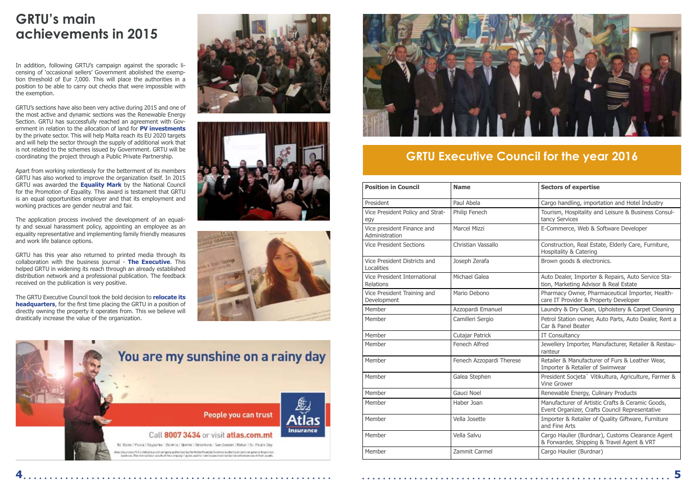# **GRTU's main achievements in 2015**

# **GRTU Executive Council for the year 2016**

In addition, following GRTU's campaign against the sporadic licensing of 'occasional sellers' Government abolished the exemption threshold of Eur 7,000. This will place the authorities in a position to be able to carry out checks that were impossible with the exemption.

GRTU's sections have also been very active during 2015 and one of the most active and dynamic sections was the Renewable Energy Section. GRTU has successfully reached an agreement with Government in relation to the allocation of land for **PV investments**  by the private sector. This will help Malta reach its EU 2020 targets and will help the sector through the supply of additional work that is not related to the schemes issued by Government. GRTU will be coordinating the project through a Public Private Partnership.

Apart from working relentlessly for the betterment of its members GRTU has also worked to improve the organization itself. In 2015 GRTU was awarded the **Equality Mark** by the National Council for the Promotion of Equality. This award is testament that GRTU is an equal opportunities employer and that its employment and working practices are gender neutral and fair.

The application process involved the development of an equality and sexual harassment policy, appointing an employee as an equality representative and implementing family friendly measures and work life balance options.

GRTU has this year also returned to printed media through its collaboration with the business journal - **The Executive**. This helped GRTU in widening its reach through an already established distribution network and a professional publication. The feedback received on the publication is very positive.

The GRTU Executive Council took the bold decision to **relocate its headquarters**, for the first time placing the GRTU in a position of directly owning the property it operates from. This we believe will drastically increase the value of the organization.







| <b>Position in Council</b>                       | <b>Name</b>              | <b>Sectors of expertise</b>                                                                        |
|--------------------------------------------------|--------------------------|----------------------------------------------------------------------------------------------------|
| President                                        | Paul Abela               | Cargo handling, importation and Hotel Industry                                                     |
| Vice President Policy and Strat-<br>egy          | Philip Fenech            | Tourism, Hospitality and Leisure & Business Consul-<br>tancy Services                              |
| Vice president Finance and<br>Administration     | <b>Marcel Mizzi</b>      | E-Commerce, Web & Software Developer                                                               |
| <b>Vice President Sections</b>                   | Christian Vassallo       | Construction, Real Estate, Elderly Care, Furniture,<br>Hospitality & Catering                      |
| Vice President Districts and<br>Localities       | Joseph Zerafa            | Brown goods & electronics.                                                                         |
| Vice President International<br><b>Relations</b> | Michael Galea            | Auto Dealer, Importer & Repairs, Auto Service Sta-<br>tion, Marketing Advisor & Real Estate        |
| Vice President Training and<br>Development       | Mario Debono             | Pharmacy Owner, Pharmaceutical Importer, Health-<br>care IT Provider & Property Developer          |
| Member                                           | Azzopardi Emanuel        | Laundry & Dry Clean, Upholstery & Carpet Cleaning                                                  |
| Member                                           | Camilleri Sergio         | Petrol Station owner, Auto Parts, Auto Dealer, Rent a<br>Car & Panel Beater                        |
| Member                                           | Cutajar Patrick          | IT Consultancy                                                                                     |
| Member                                           | Fenech Alfred            | Jewellery Importer, Manufacturer, Retailer & Restau-<br>ranteur                                    |
| Member                                           | Fenech Azzopardi Therese | Retailer & Manufacturer of Furs & Leather Wear,<br>Importer & Retailer of Swimwear                 |
| Member                                           | Galea Stephen            | President Socjeta` Vitikultura, Agriculture, Farmer &<br><b>Vine Grower</b>                        |
| Member                                           | Gauci Noel               | Renewable Energy, Culinary Products                                                                |
| Member                                           | Haber Joan               | Manufacturer of Artistic Crafts & Ceramic Goods,<br>Event Organizer, Crafts Council Representative |
| Member                                           | Vella Josette            | Importer & Retailer of Quality Giftware, Furniture<br>and Fine Arts                                |
| Member                                           | Vella Salvu              | Cargo Haulier (Burdnar), Customs Clearance Agent<br>& Forwarder, Shipping & Travel Agent & VRT     |
| Member                                           | Zammit Carmel            | Cargo Haulier (Burdnar)                                                                            |

**4 5**



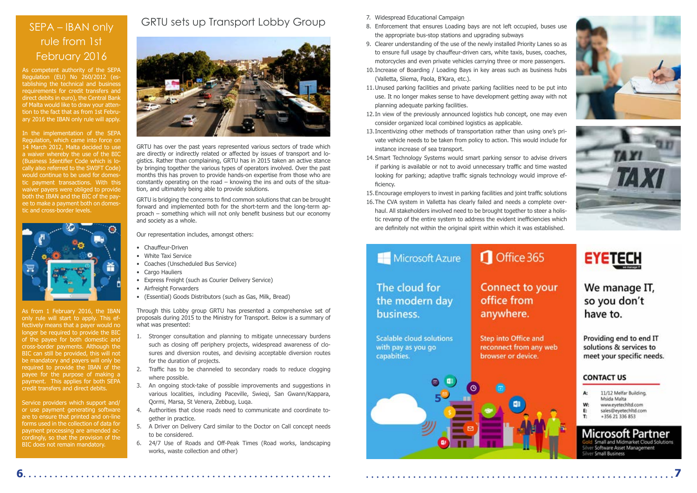#### GRTU sets up Transport Lobby Group



GRTU has over the past years represented various sectors of trade which are directly or indirectly related or affected by issues of transport and lo gistics. Rather than complaining, GRTU has in 2015 taken an active stance by bringing together the various types of operators involved. Over the past months this has proven to provide hands-on expertise from those who are constantly operating on the road – knowing the ins and outs of the situa tion, and ultimately being able to provide solutions.

GRTU is bridging the concerns to find common solutions that can be brought forward and implemented both for the short-term and the long-term ap proach – something which will not only benefit business but our economy and society as a whole.

Our representation includes, amongst others:

- Chauffeur-Driven
- White Taxi Service
- Coaches (Unscheduled Bus Service)
- Cargo Hauliers
- Express Freight (such as Courier Delivery Service)
- Airfreight Forwarders
- (Essential) Goods Distributors (such as Gas, Milk, Bread)

Through this Lobby group GRTU has presented a comprehensive set of proposals during 2015 to the Ministry for Transport. Below is a summary of what was presented:

- 1. Stronger consultation and planning to mitigate unnecessary burdens such as closing off periphery projects, widespread awareness of clo sures and diversion routes, and devising acceptable diversion routes for the duration of projects.
- 2. Traffic has to be channeled to secondary roads to reduce clogging where possible.
- 3. An ongoing stock-take of possible improvements and suggestions in various localities, including Paceville, Swieqi, San Gwann/Kappara, Qormi, Marsa, St Venera, Zebbug, Luqa.
- 4. Authorities that close roads need to communicate and coordinate to gether in practice.
- 5. A Driver on Delivery Card similar to the Doctor on Call concept needs to be considered.
- 6. 24/7 Use of Roads and Off-Peak Times (Road works, landscaping works, waste collection and other)

#### SEPA – IBAN only rule from 1st February 2016

As competent authority of the SEPA Regulation (EU) No 260/2012 (es tablishing the technical and business requirements for credit transfers and direct debits in euro), the Central Bank of Malta would like to draw your atten tion to the fact that as from 1st Febru ary 2016 the IBAN only rule will apply.

In the implementation of the SEPA Regulation, which came into force on 14 March 2012, Malta decided to use a waiver whereby the use of the BIC (Business Identifier Code which is lo cally also referred to the SWIFT Code) would continue to be used for domes tic payment transactions. With this waiver payers were obliged to provide both the IBAN and the BIC of the pay ee to make a payment both on domes tic and cross-border levels.



As from 1 February 2016, the IBAN only rule will start to apply. This effectively means that a payer would no longer be required to provide the BIC of the payee for both domestic and cross-border payments. Although the BIC can still be provided, this will not be mandatory and payers will only be required to provide the IBAN of the payee for the purpose of making a payment. This applies for both SEPA credit transfers and direct debits.

Service providers which support and/ or use payment generating software are to ensure that printed and on-line forms used in the collection of data for payment processing are amended ac cordingly, so that the provision of the BIC does not remain mandatory.

- 7. Widespread Educational Campaign
- 8. Enforcement that ensures Loading bays are not left occupied, buses use the appropriate bus-stop stations and upgrading subways
- 9. Clearer understanding of the use of the newly installed Priority Lanes so as to ensure full usage by chauffeur-driven cars, white taxis, buses, coaches, motorcycles and even private vehicles carrying three or more passengers.
- 10.Increase of Boarding / Loading Bays in key areas such as business hubs (Valletta, Sliema, Paola, B'Kara, etc.).
- 11.Unused parking facilities and private parking facilities need to be put into use. It no longer makes sense to have development getting away with not planning adequate parking facilities.
- 12.In view of the previously announced logistics hub concept, one may even consider organized local combined logistics as applicable.
- 13.Incentivizing other methods of transportation rather than using one's pri vate vehicle needs to be taken from policy to action. This would include for instance increase of sea transport.
- 14.Smart Technology Systems would smart parking sensor to advise drivers if parking is available or not to avoid unnecessary traffic and time wasted looking for parking; adaptive traffic signals technology would improve efficiency.
- 15.Encourage employers to invest in parking facilities and joint traffic solutions
- 16.The CVA system in Valletta has clearly failed and needs a complete over haul. All stakeholders involved need to be brought together to steer a holis tic revamp of the entire system to address the evident inefficiencies which are definitely not within the original spirit within which it was established.

#### Microsoft Azure

#### The cloud for the modern day business.

**Scalable cloud solutions** with pay as you go capabities.

**5**

**Step into Office and** reconnect from any web browser or device.

**6**

**7**





### Office 365

Connect to your office from

anywhere.



We manage IT, so you don't have to.

Providing end to end IT solutions & services to meet your specific needs.

#### **CONTACT US**

| A: | 11/12 Melfar Building. |  |
|----|------------------------|--|
|    | Msida Malta            |  |
| W: | www.eyetechitd.com     |  |
| E. | sales@eyetechltd.com   |  |
| т. | +356 21 336 853        |  |

nall and Midmarket Cloud Solutions ver Software Asset Management Small Business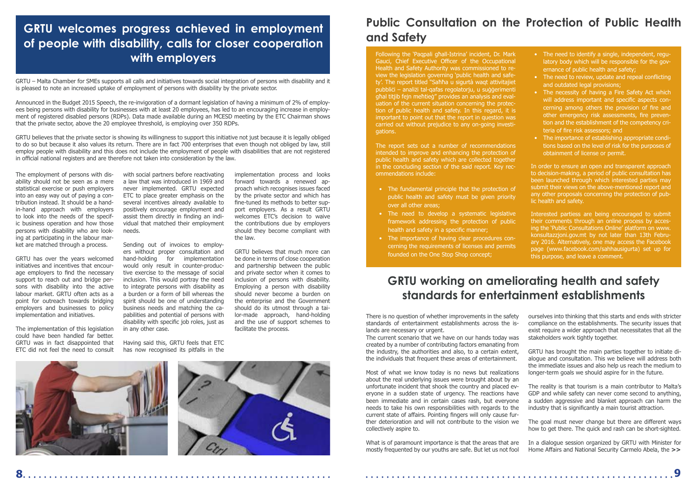GRTU – Malta Chamber for SMEs supports all calls and initiatives towards social integration of persons with disability and it is pleased to note an increased uptake of employment of persons with disability by the private sector.

Announced in the Budget 2015 Speech, the re-invigoration of a dormant legislation of having a minimum of 2% of employees being persons with disability for businesses with at least 20 employees, has led to an encouraging increase in employment of registered disabled persons (RDPs). Data made available during an MCESD meeting by the ETC Chairman shows that the private sector, above the 20 employee threshold, is employing over 350 RDPs.

GRTU believes that the private sector is showing its willingness to support this initiative not just because it is legally obliged to do so but because it also values its return. There are in fact 700 enterprises that even though not obliged by law, still employ people with disability and this does not include the employment of people with disabilities that are not registered in official national registers and are therefore not taken into consideration by the law.

The employment of persons with disability should not be seen as a mere statistical exercise or push employers into an easy way out of paying a contribution instead. It should be a handin-hand approach with employers to look into the needs of the specific business operation and how those persons with disability who are looking at participating in the labour market are matched through a process.

GRTU has over the years welcomed initiatives and incentives that encourage employers to find the necessary support to reach out and bridge persons with disability into the active labour market. GRTU often acts as a point for outreach towards bridging employers and businesses to policy implementation and initiatives.

The implementation of this legislation could have been handled far better. GRTU was in fact disappointed that ETC did not feel the need to consult

with social partners before reactivating a law that was introduced in 1969 and never implemented. GRTU expected ETC to place greater emphasis on the several incentives already available to positively encourage employment and assist them directly in finding an individual that matched their employment needs.

Sending out of invoices to employers without proper consultation and hand-holding for implementation would only result in counter-productive exercise to the message of social inclusion. This would portray the need to integrate persons with disability as a burden or a form of bill whereas the spirit should be one of understanding business needs and matching the capabilities and potential of persons with disability with specific job roles, just as in any other case.

Having said this, GRTU feels that ETC has now recognised its pitfalls in the

implementation process and looks forward towards a renewed approach which recognises issues faced by the private sector and which has fine-tuned its methods to better support employers. As a result GRTU welcomes ETC's decision to waive the contributions due by employers should they become compliant with the law.

GRTU believes that much more can be done in terms of close cooperation and partnership between the public and private sector when it comes to inclusion of persons with disability. Employing a person with disability should never become a burden on the enterprise and the Government should do its utmost through a tailor-made approach, hand-holding and the use of support schemes to facilitate the process.





### **GRTU welcomes progress achieved in employment of people with disability, calls for closer cooperation with employers**

#### **Public Consultation on the Protection of Public Health and Safety**

Following the 'Paqpali għall-Istrina' incident, Dr. Mark Gauci, Chief Executive Officer of the Occupational Health and Safety Authority was commissioned to review the legislation governing 'public health and safety'. The report titled "Saħħa u sigurtà waqt attivitajiet pubbliċi – analiżi tal-qafas regolatorju, u suġġerimenti għal titjib fejn meħtieġ" provides an analysis and evaluation of the current situation concerning the protection of public health and safety. In this regard, it is important to point out that the report in question was carried out without prejudice to any on-going investigations.

The report sets out a number of recommendations intended to improve and enhancing the protection of public health and safety which are collected together in the concluding section of the said report. Key recommendations include:

- The fundamental principle that the protection of public health and safety must be given priority over all other areas;
- The need to develop a systematic legislative framework addressing the protection of public health and safety in a specific manner;
- The importance of having clear procedures concerning the requirements of licenses and permits founded on the One Stop Shop concept;
- The need to identify a single, independent, regulatory body which will be responsible for the governance of public health and safety;
- The need to review, update and repeal conflicting and outdated legal provisions;
- The necessity of having a Fire Safety Act which will address important and specific aspects concerning among others the provision of fire and other emergency risk assessments, fire prevention and the establishment of the competency criteria of fire risk assessors; and
- The importance of establishing appropriate conditions based on the level of risk for the purposes of obtainment of license or permit.
- In order to ensure an open and transparent approach to decision-making, a period of public consultation has been launched through which interested parties may submit their views on the above-mentioned report and any other proposals concerning the protection of public health and safety.
- Interested partiess are being encouraged to submit their comments through an online process by accesing the 'Public Consultations Online' platform on www. konsultazzjoni.gov.mt by not later than 13th February 2016. Alternatively, one may access the Facebook page (www.facebook.com/sahhausigurta) set up for this purpose, and leave a comment.

# **GRTU working on ameliorating health and safety standards for entertainment establishments**

There is no question of whether improvements in the safety standards of entertainment establishments across the islands are necessary or urgent.

The current scenario that we have on our hands today was created by a number of contributing factors emanating from the industry, the authorities and also, to a certain extent, the individuals that frequent these areas of entertainment.

Most of what we know today is no news but realizations about the real underlying issues were brought about by an unfortunate incident that shook the country and placed everyone in a sudden state of urgency. The reactions have been immediate and in certain cases rash, but everyone needs to take his own responsibilities with regards to the current state of affairs. Pointing fingers will only cause further deterioration and will not contribute to the vision we collectively aspire to.

What is of paramount importance is that the areas that are mostly frequented by our youths are safe. But let us not fool

- ourselves into thinking that this starts and ends with stricter compliance on the establishments. The security issues that exist require a wider approach that necessitates that all the stakeholders work tightly together.
- GRTU has brought the main parties together to initiate dialogue and consultation. This we believe will address both the immediate issues and also help us reach the medium to longer-term goals we should aspire for in the future.
- The reality is that tourism is a main contributor to Malta's GDP and while safety can never come second to anything, a sudden aggressive and blanket approach can harm the industry that is significantly a main tourist attraction.
- The goal must never change but there are different ways how to get there. The quick and rash can be short-sighted.
- In a dialogue session organized by GRTU with Minister for Home Affairs and National Security Carmelo Abela, the **>>**

**8 9**